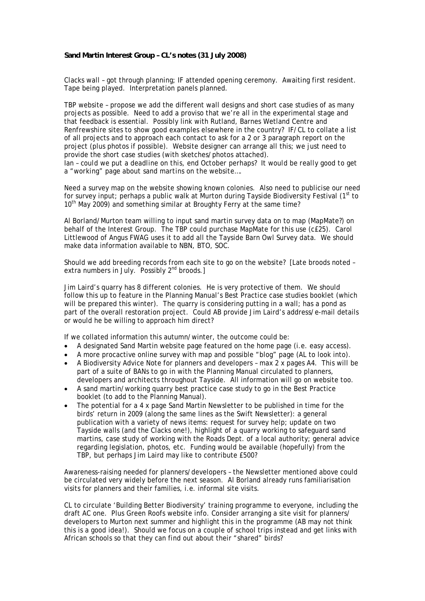## **Sand Martin Interest Group – CL's notes (31 July 2008)**

Clacks wall – got through planning; IF attended opening ceremony. Awaiting first resident. Tape being played. Interpretation panels planned.

TBP website – propose we add the different wall designs and short case studies of as many projects as possible. Need to add a proviso that we're all in the experimental stage and that feedback is essential. Possibly link with Rutland, Barnes Wetland Centre and Renfrewshire sites to show good examples elsewhere in the country? IF/CL to collate a list of all projects and to approach each contact to ask for a 2 or 3 paragraph report on the project (plus photos if possible). Website designer can arrange all this; we just need to provide the short case studies (with sketches/photos attached).

*Ian – could we put a deadline on this, end October perhaps? It would be really good to get a "working" page about sand martins on the website….* 

Need a survey map on the website showing known colonies. Also need to publicise our need for survey input; perhaps a public walk at Murton during Tayside Biodiversity Festival  $(1<sup>st</sup>$  to 10<sup>th</sup> May 2009) and something similar at Broughty Ferry at the same time?

Al Borland/Murton team willing to input sand martin survey data on to map (MapMate?) on behalf of the Interest Group. The TBP could purchase MapMate for this use (c£25). Carol Littlewood of Angus FWAG uses it to add all the Tayside Barn Owl Survey data. We should make data information available to NBN, BTO, SOC.

Should we add breeding records from each site to go on the website? [Late broods noted – extra numbers in July. Possibly 2<sup>nd</sup> broods.]

Jim Laird's quarry has 8 different colonies. He is very protective of them. We should follow this up to feature in the Planning Manual's Best Practice case studies booklet (which will be prepared this winter). The quarry is considering putting in a wall; has a pond as part of the overall restoration project. Could AB provide Jim Laird's address/e-mail details or would he be willing to approach him direct?

If we collated information this autumn/winter, the outcome could be:

- A designated Sand Martin website page featured on the home page (i.e. easy access).
- A more procactive online survey with map and possible "blog" page (AL to look into).
- A Biodiversity Advice Note for planners and developers max 2 x pages A4. This will be part of a suite of BANs to go in with the Planning Manual circulated to planners, developers and architects throughout Tayside. All information will go on website too.
- A sand martin/working quarry best practice case study to go in the Best Practice booklet (to add to the Planning Manual).
- The potential for a 4 x page Sand Martin Newsletter to be published in time for the birds' return in 2009 (along the same lines as the Swift Newsletter): a general publication with a variety of news items: request for survey help; update on two Tayside walls (and the Clacks one!), highlight of a quarry working to safeguard sand martins, case study of working with the Roads Dept. of a local authority; general advice regarding legislation, photos, etc. Funding would be available (hopefully) from the TBP, but perhaps Jim Laird may like to contribute £500?

Awareness-raising needed for planners/developers – the Newsletter mentioned above could be circulated very widely before the next season. Al Borland already runs familiarisation visits for planners and their families, i.e. informal site visits.

CL to circulate 'Building Better Biodiversity' training programme to everyone, including the draft AC one. Plus Green Roofs website info. Consider arranging a site visit for planners/ developers to Murton next summer and highlight this in the programme (AB may not think this is a good idea!). Should we focus on a couple of school trips instead and get links with African schools so that they can find out about their "shared" birds?